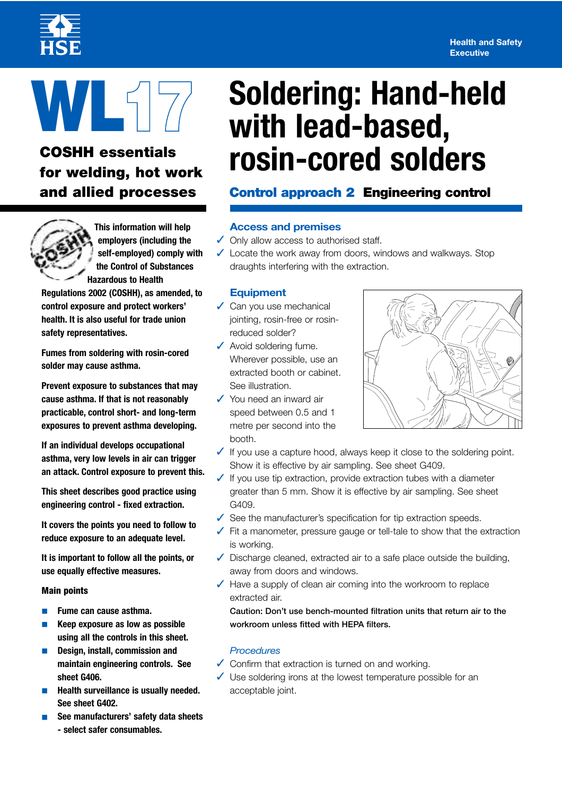#### **Health and Safety Executive**



# **COSHH essentials**

**This information will help employers (including the self-employed) comply with the Control of Substances Hazardous to Health** 

**Regulations 2002 (COSHH), as amended, to control exposure and protect workers' health. It is also useful for trade union safety representatives.** 

**Fumes from soldering with rosin-cored solder may cause asthma.** 

**Prevent exposure to substances that may cause asthma. If that is not reasonably practicable, control short- and long-term exposures to prevent asthma developing.** 

**If an individual develops occupational asthma, very low levels in air can trigger an attack. Control exposure to prevent this.** 

**This sheet describes good practice using engineering control - fixed extraction.** 

**It covers the points you need to follow to reduce exposure to an adequate level.** 

**It is important to follow all the points, or use equally effective measures.** 

#### **Main points**

- **Fume can cause asthma.**
- **Keep exposure as low as possible using all the controls in this sheet.**
- **Design, install, commission and maintain engineering controls. See sheet G406.**
- **Health surveillance is usually needed. See sheet G402.**
- **See manufacturers' safety data sheets - select safer consumables.**

# **WL Soldering: Hand-held 17 with lead-based, for welding, hot work rosin-cored solders**

# **and allied processes Control approach 2 Engineering control**

### **Access and premises**

- **✓** Only allow access to authorised staff.
- ✓ Locate the work away from doors, windows and walkways. Stop draughts interfering with the extraction.

#### **Equipment**

- $\sqrt{\phantom{a}}$  Can you use mechanical jointing, rosin-free or rosinreduced solder?
- ✓ Avoid soldering fume. Wherever possible, use an extracted booth or cabinet. See illustration.
- ✓ You need an inward air speed between 0.5 and 1 metre per second into the booth.



- ✓ If you use a capture hood, always keep it close to the soldering point. Show it is effective by air sampling. See sheet G409.
- $\sqrt{\ }$  If you use tip extraction, provide extraction tubes with a diameter greater than 5 mm. Show it is effective by air sampling. See sheet G409.
- ✓ See the manufacturer's specification for tip extraction speeds.
- ✓ Fit a manometer, pressure gauge or tell-tale to show that the extraction is working.
- $\sqrt{\phantom{a}}$  Discharge cleaned, extracted air to a safe place outside the building, away from doors and windows.
- ✓ Have a supply of clean air coming into the workroom to replace extracted air.

**Caution: Don't use bench-mounted filtration units that return air to the workroom unless fitted with HEPA filters.** 

#### *Procedures*

- ✓ Confirm that extraction is turned on and working.
- ✓ Use soldering irons at the lowest temperature possible for an acceptable joint.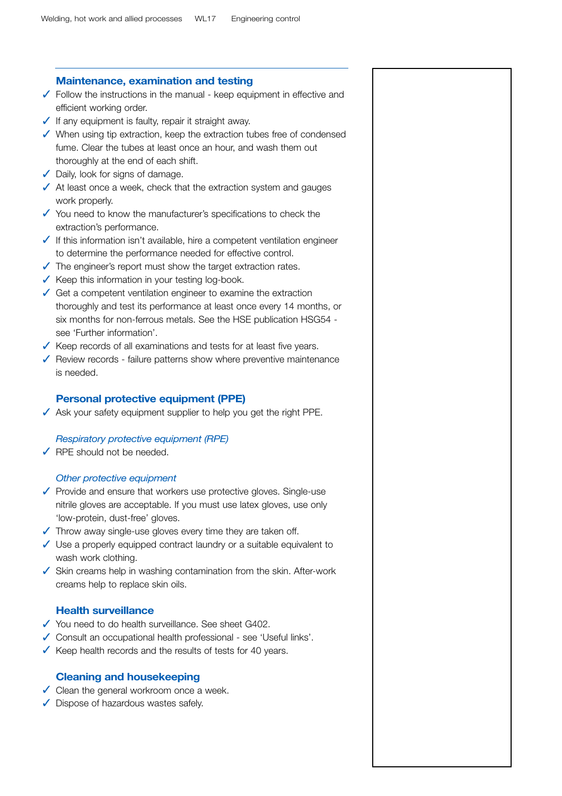## **Maintenance, examination and testing**   $\sqrt{\ }$  Follow the instructions in the manual - keep equipment in effective and efficient working order.  $\sqrt{\ }$  If any equipment is faulty, repair it straight away. ✓ When using tip extraction, keep the extraction tubes free of condensed fume. Clear the tubes at least once an hour, and wash them out thoroughly at the end of each shift. ◆ Daily, look for signs of damage.  $\sqrt{\phantom{a}}$  At least once a week, check that the extraction system and gauges work properly. ✓ You need to know the manufacturer's specifications to check the extraction's performance. ✓ If this information isn't available, hire a competent ventilation engineer to determine the performance needed for effective control.  $\sqrt{\ }$  The engineer's report must show the target extraction rates. ✓ Keep this information in your testing log-book.  $\sqrt{\phantom{a}}$  Get a competent ventilation engineer to examine the extraction thoroughly and test its performance at least once every 14 months, or six months for non-ferrous metals. See the HSE publication HSG54 see 'Further information'. ✓ Keep records of all examinations and tests for at least five years. ✓ Review records - failure patterns show where preventive maintenance is needed. **Personal protective equipment (PPE)**   $\sqrt{\phantom{a}}$  Ask your safety equipment supplier to help you get the right PPE. *Respiratory protective equipment (RPE)*  ✓ RPE should not be needed. *Other protective equipment*  ✓ Provide and ensure that workers use protective gloves. Single-use nitrile gloves are acceptable. If you must use latex gloves, use only 'low-protein, dust-free' gloves.  $\sqrt{\phantom{a}}$  Throw away single-use gloves every time they are taken off.

- ✓ Use a properly equipped contract laundry or a suitable equivalent to wash work clothing.
- ✓ Skin creams help in washing contamination from the skin. After-work creams help to replace skin oils.

#### **Health surveillance**

- ✓ You need to do health surveillance. See sheet G402.
- ✓ Consult an occupational health professional see 'Useful links'.
- $\sqrt{\ }$  Keep health records and the results of tests for 40 years.

#### **Cleaning and housekeeping**

- ✓ Clean the general workroom once a week.
- ✓ Dispose of hazardous wastes safely.